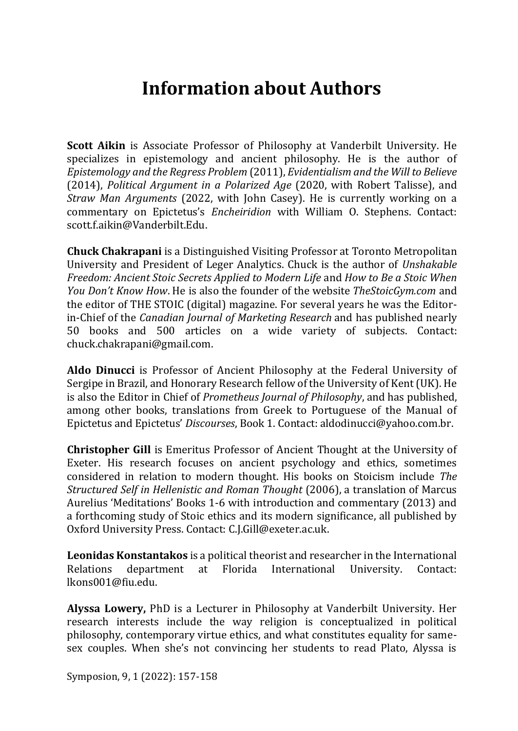## **Information about Authors**

**Scott Aikin** is Associate Professor of Philosophy at Vanderbilt University. He specializes in epistemology and ancient philosophy. He is the author of *Epistemology and the Regress Problem* (2011), *Evidentialism and the Will to Believe* (2014), *Political Argument in a Polarized Age* (2020, with Robert Talisse), and *Straw Man Arguments* (2022, with John Casey). He is currently working on a commentary on Epictetus's *Encheiridion* with William O. Stephens. Contact: scott.f.aikin@Vanderbilt.Edu.

**Chuck Chakrapani** is a Distinguished Visiting Professor at Toronto Metropolitan University and President of Leger Analytics. Chuck is the author of *Unshakable Freedom: Ancient Stoic Secrets Applied to Modern Life* and *How to Be a Stoic When You Don't Know How*. He is also the founder of the website *TheStoicGym.com* and the editor of THE STOIC (digital) magazine. For several years he was the Editorin-Chief of the *Canadian Journal of Marketing Research* and has published nearly 50 books and 500 articles on a wide variety of subjects. Contact: chuck.chakrapani@gmail.com.

**Aldo Dinucci** is Professor of Ancient Philosophy at the Federal University of Sergipe in Brazil, and Honorary Research fellow of the University of Kent (UK). He is also the Editor in Chief of *Prometheus Journal of Philosophy*, and has published, among other books, translations from Greek to Portuguese of the Manual of Epictetus and Epictetus' *Discourses*, Book 1. Contact: aldodinucci@yahoo.com.br.

**Christopher Gill** is Emeritus Professor of Ancient Thought at the University of Exeter. His research focuses on ancient psychology and ethics, sometimes considered in relation to modern thought. His books on Stoicism include *The Structured Self in Hellenistic and Roman Thought* (2006), a translation of Marcus Aurelius 'Meditations' Books 1-6 with introduction and commentary (2013) and a forthcoming study of Stoic ethics and its modern significance, all published by Oxford University Press. Contact: C.J.Gill@exeter.ac.uk.

**Leonidas Konstantakos** is a political theorist and researcher in the International Relations department at Florida International University. Contact: lkons001@fiu.edu.

**Alyssa Lowery,** PhD is a Lecturer in Philosophy at Vanderbilt University. Her research interests include the way religion is conceptualized in political philosophy, contemporary virtue ethics, and what constitutes equality for samesex couples. When she's not convincing her students to read Plato, Alyssa is

Symposion, 9, 1 (2022): 157-158